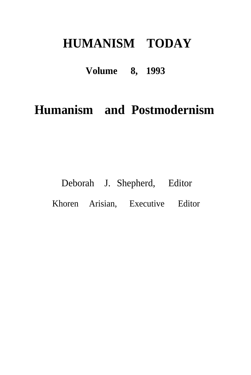## **HUMANISM TODAY**

### **Volume 8, 1993**

## **Humanism and Postmodernism**

# Deborah J. Shepherd, Editor Khoren Arisian, Executive Editor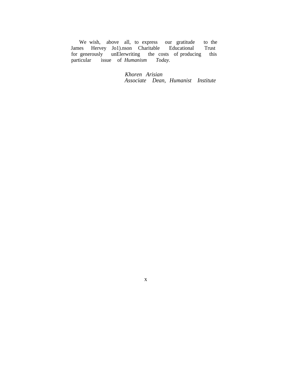We wish, above all, to express our gratitude to the James Hervey Jo1).nson Charitable Educational Trust<br>for generously unElerwriting the costs of producing this<br>particular issue of *Humanism Today*.

Khoren Arisian Associate Dean, Humanist Institute

 $\mathbf{X}$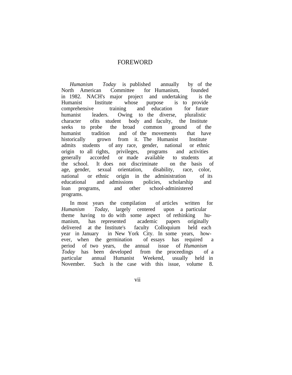### FOREWORD

*Humanism Today* is published annually by of the North American Committee for Humanism, founded in 1982. NACH's major project and undertaking is the Humanist Institute whose purpose is to provide comprehensive training and education for future humanist leaders. Owing to the diverse, pluralistic character ofits student body and faculty, the Institute seeks to probe the broad common ground of the humanist tradition and of the movements that have historically grown from it. The Humanist Institute admits students of any race, gender, national or ethnic origin to all rights, privileges, programs and activities generally accorded or made available to students at the school. It does not discriminate on the basis of age, gender, sexual orientation, disability, race, color, national or ethnic origin in the administration of its educational and admissions policies, scholarship and loan programs, and other school-administered programs.

In most years the compilation of articles written for *Humanism Today,* largely centered upon a particular theme having to do with some aspect of rethinking humanism, has represented academic papers originally delivered at the Institute's faculty Colloquium held each year in January in New York City. In some years, however, when the germination of essays has required a period of two years, the annual issue of *Humanism Today* has been developed from the proceedings of a particular annual Humanist Weekend, usually held in November. Such is the case with this issue, volume 8.

vii